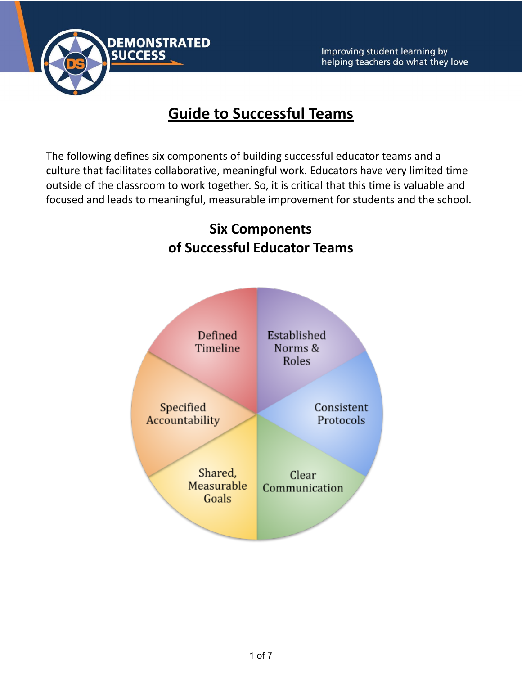

## **Guide to Successful Teams**

The following defines six components of building successful educator teams and a culture that facilitates collaborative, meaningful work. Educators have very limited time outside of the classroom to work together. So, it is critical that this time is valuable and focused and leads to meaningful, measurable improvement for students and the school.

# **Six Components of Successful Educator Teams** Defined Established Timeline Norms & Roles Specified Consistent Accountability Protocols Shared, Clear Measurable Communication Goals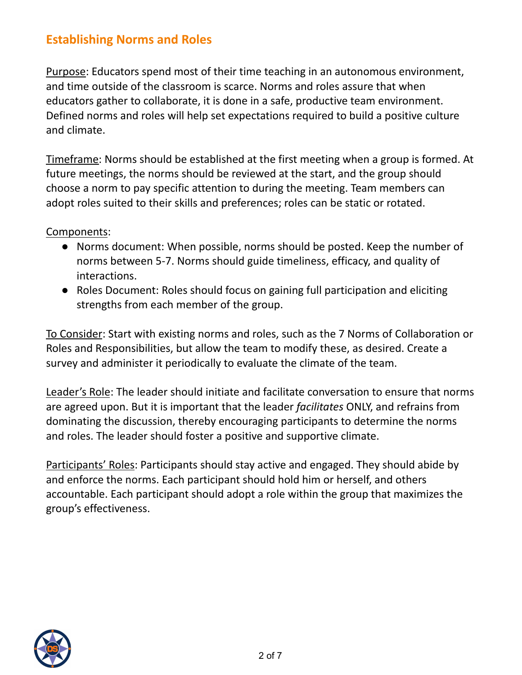#### **Establishing Norms and Roles**

Purpose: Educators spend most of their time teaching in an autonomous environment, and time outside of the classroom is scarce. Norms and roles assure that when educators gather to collaborate, it is done in a safe, productive team environment. Defined norms and roles will help set expectations required to build a positive culture and climate.

Timeframe: Norms should be established at the first meeting when a group is formed. At future meetings, the norms should be reviewed at the start, and the group should choose a norm to pay specific attention to during the meeting. Team members can adopt roles suited to their skills and preferences; roles can be static or rotated.

Components:

- Norms document: When possible, norms should be posted. Keep the number of norms between 5-7. Norms should guide timeliness, efficacy, and quality of interactions.
- Roles Document: Roles should focus on gaining full participation and eliciting strengths from each member of the group.

To Consider: Start with existing norms and roles, such as the 7 Norms of Collaboration or Roles and Responsibilities, but allow the team to modify these, as desired. Create a survey and administer it periodically to evaluate the climate of the team.

Leader's Role: The leader should initiate and facilitate conversation to ensure that norms are agreed upon. But it is important that the leader *facilitates* ONLY, and refrains from dominating the discussion, thereby encouraging participants to determine the norms and roles. The leader should foster a positive and supportive climate.

Participants' Roles: Participants should stay active and engaged. They should abide by and enforce the norms. Each participant should hold him or herself, and others accountable. Each participant should adopt a role within the group that maximizes the group's effectiveness.

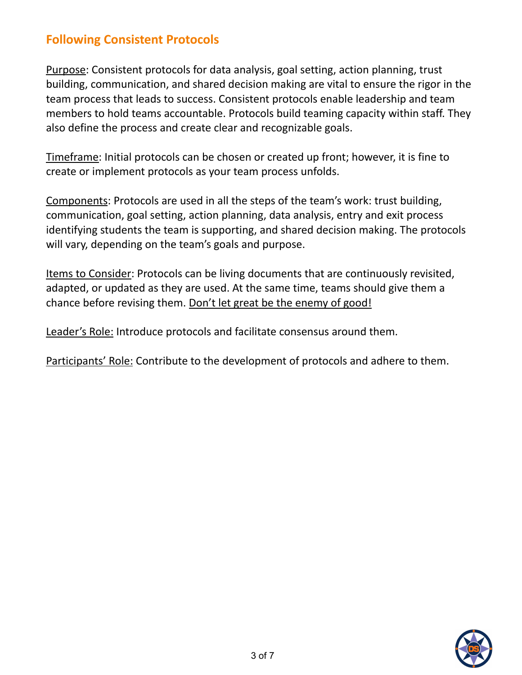#### **Following Consistent Protocols**

Purpose: Consistent protocols for data analysis, goal setting, action planning, trust building, communication, and shared decision making are vital to ensure the rigor in the team process that leads to success. Consistent protocols enable leadership and team members to hold teams accountable. Protocols build teaming capacity within staff. They also define the process and create clear and recognizable goals.

Timeframe: Initial protocols can be chosen or created up front; however, it is fine to create or implement protocols as your team process unfolds.

Components: Protocols are used in all the steps of the team's work: trust building, communication, goal setting, action planning, data analysis, entry and exit process identifying students the team is supporting, and shared decision making. The protocols will vary, depending on the team's goals and purpose.

Items to Consider: Protocols can be living documents that are continuously revisited, adapted, or updated as they are used. At the same time, teams should give them a chance before revising them. Don't let great be the enemy of good!

Leader's Role: Introduce protocols and facilitate consensus around them.

Participants' Role: Contribute to the development of protocols and adhere to them.

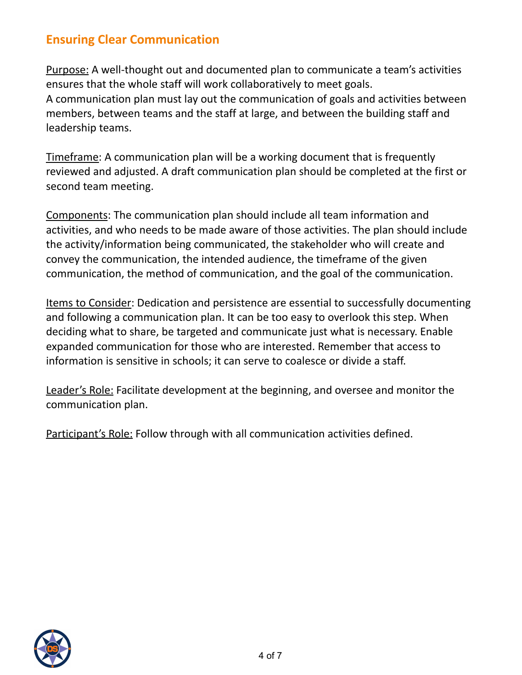#### **Ensuring Clear Communication**

Purpose: A well-thought out and documented plan to communicate a team's activities ensures that the whole staff will work collaboratively to meet goals. A communication plan must lay out the communication of goals and activities between members, between teams and the staff at large, and between the building staff and leadership teams.

Timeframe: A communication plan will be a working document that is frequently reviewed and adjusted. A draft communication plan should be completed at the first or second team meeting.

Components: The communication plan should include all team information and activities, and who needs to be made aware of those activities. The plan should include the activity/information being communicated, the stakeholder who will create and convey the communication, the intended audience, the timeframe of the given communication, the method of communication, and the goal of the communication.

Items to Consider: Dedication and persistence are essential to successfully documenting and following a communication plan. It can be too easy to overlook this step. When deciding what to share, be targeted and communicate just what is necessary. Enable expanded communication for those who are interested. Remember that access to information is sensitive in schools; it can serve to coalesce or divide a staff.

Leader's Role: Facilitate development at the beginning, and oversee and monitor the communication plan.

Participant's Role: Follow through with all communication activities defined.

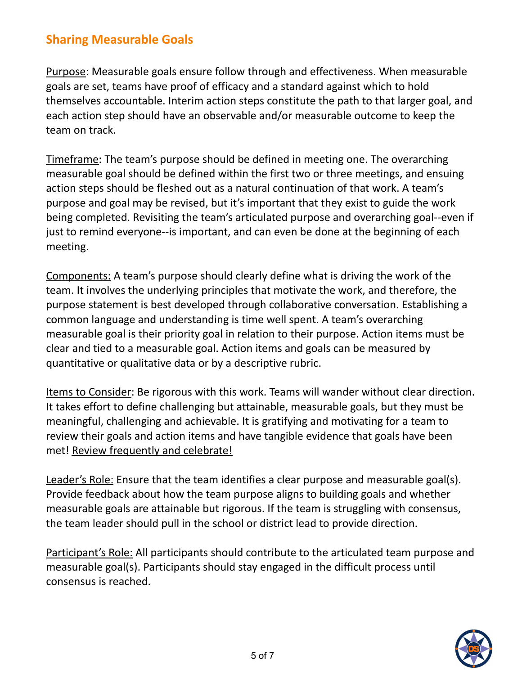#### **Sharing Measurable Goals**

Purpose: Measurable goals ensure follow through and effectiveness. When measurable goals are set, teams have proof of efficacy and a standard against which to hold themselves accountable. Interim action steps constitute the path to that larger goal, and each action step should have an observable and/or measurable outcome to keep the team on track.

Timeframe: The team's purpose should be defined in meeting one. The overarching measurable goal should be defined within the first two or three meetings, and ensuing action steps should be fleshed out as a natural continuation of that work. A team's purpose and goal may be revised, but it's important that they exist to guide the work being completed. Revisiting the team's articulated purpose and overarching goal--even if just to remind everyone--is important, and can even be done at the beginning of each meeting.

Components: A team's purpose should clearly define what is driving the work of the team. It involves the underlying principles that motivate the work, and therefore, the purpose statement is best developed through collaborative conversation. Establishing a common language and understanding is time well spent. A team's overarching measurable goal is their priority goal in relation to their purpose. Action items must be clear and tied to a measurable goal. Action items and goals can be measured by quantitative or qualitative data or by a descriptive rubric.

Items to Consider: Be rigorous with this work. Teams will wander without clear direction. It takes effort to define challenging but attainable, measurable goals, but they must be meaningful, challenging and achievable. It is gratifying and motivating for a team to review their goals and action items and have tangible evidence that goals have been met! Review frequently and celebrate!

Leader's Role: Ensure that the team identifies a clear purpose and measurable goal(s). Provide feedback about how the team purpose aligns to building goals and whether measurable goals are attainable but rigorous. If the team is struggling with consensus, the team leader should pull in the school or district lead to provide direction.

Participant's Role: All participants should contribute to the articulated team purpose and measurable goal(s). Participants should stay engaged in the difficult process until consensus is reached.

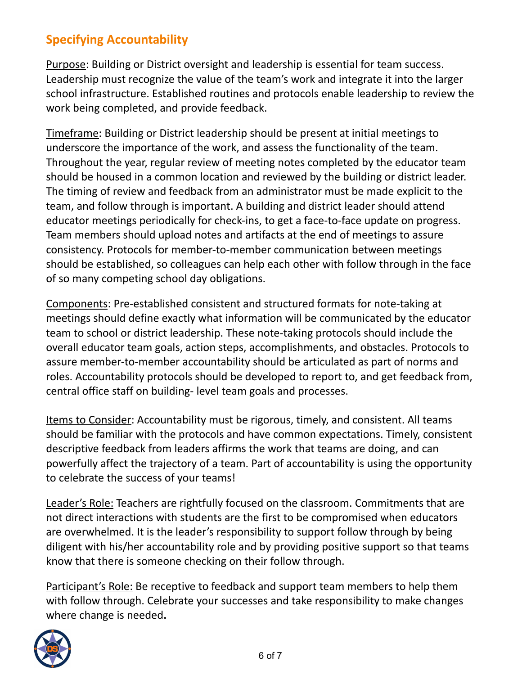### **Specifying Accountability**

Purpose: Building or District oversight and leadership is essential for team success. Leadership must recognize the value of the team's work and integrate it into the larger school infrastructure. Established routines and protocols enable leadership to review the work being completed, and provide feedback.

Timeframe: Building or District leadership should be present at initial meetings to underscore the importance of the work, and assess the functionality of the team. Throughout the year, regular review of meeting notes completed by the educator team should be housed in a common location and reviewed by the building or district leader. The timing of review and feedback from an administrator must be made explicit to the team, and follow through is important. A building and district leader should attend educator meetings periodically for check-ins, to get a face-to-face update on progress. Team members should upload notes and artifacts at the end of meetings to assure consistency. Protocols for member-to-member communication between meetings should be established, so colleagues can help each other with follow through in the face of so many competing school day obligations.

Components: Pre-established consistent and structured formats for note-taking at meetings should define exactly what information will be communicated by the educator team to school or district leadership. These note-taking protocols should include the overall educator team goals, action steps, accomplishments, and obstacles. Protocols to assure member-to-member accountability should be articulated as part of norms and roles. Accountability protocols should be developed to report to, and get feedback from, central office staff on building- level team goals and processes.

Items to Consider: Accountability must be rigorous, timely, and consistent. All teams should be familiar with the protocols and have common expectations. Timely, consistent descriptive feedback from leaders affirms the work that teams are doing, and can powerfully affect the trajectory of a team. Part of accountability is using the opportunity to celebrate the success of your teams!

Leader's Role: Teachers are rightfully focused on the classroom. Commitments that are not direct interactions with students are the first to be compromised when educators are overwhelmed. It is the leader's responsibility to support follow through by being diligent with his/her accountability role and by providing positive support so that teams know that there is someone checking on their follow through.

Participant's Role: Be receptive to feedback and support team members to help them with follow through. Celebrate your successes and take responsibility to make changes where change is needed**.**